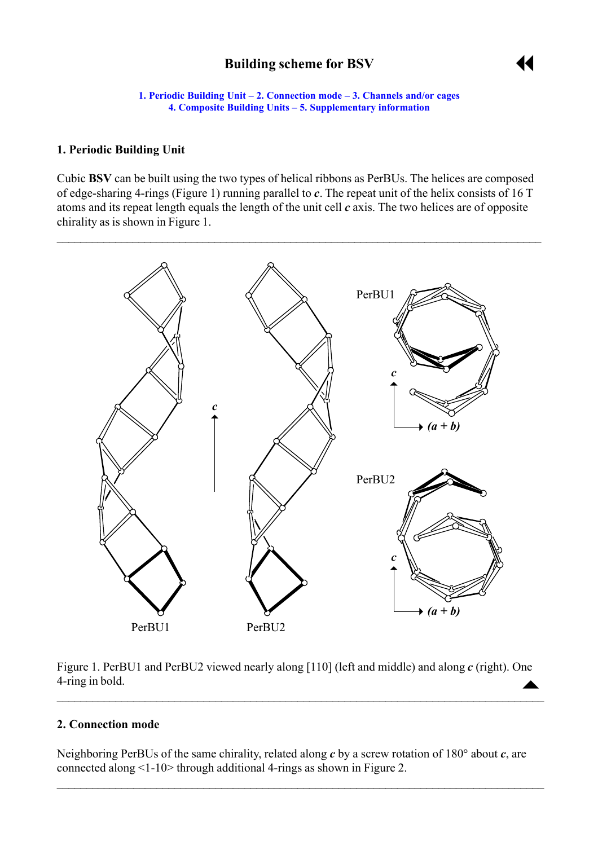# **Building scheme for BSV**



**1. Periodic Building Unit – 2. Connection mode – [3. Channels and/or cages](#page-3-0) [4. Composite Building Units](#page-3-0) [– 5. Supplementary information](#page-3-0)**

#### <span id="page-0-0"></span>**1. Periodic Building Unit**

Cubic **BSV** can be built using the two types of helical ribbons as PerBUs. The helices are composed of edge-sharing 4-rings (Figure 1) running parallel to *c*. The repeat unit of the helix consists of 16 T atoms and its repeat length equals the length of the unit cell *c* axis. The two helices are of opposite chirality as is shown in Figure 1.



Figure 1. PerBU1 and PerBU2 viewed nearly along [110] (left and middle) and along *c* (right). One 4-ring in bold.

 $\mathcal{L}_\mathcal{L} = \{ \mathcal{L}_\mathcal{L} = \{ \mathcal{L}_\mathcal{L} = \{ \mathcal{L}_\mathcal{L} = \{ \mathcal{L}_\mathcal{L} = \{ \mathcal{L}_\mathcal{L} = \{ \mathcal{L}_\mathcal{L} = \{ \mathcal{L}_\mathcal{L} = \{ \mathcal{L}_\mathcal{L} = \{ \mathcal{L}_\mathcal{L} = \{ \mathcal{L}_\mathcal{L} = \{ \mathcal{L}_\mathcal{L} = \{ \mathcal{L}_\mathcal{L} = \{ \mathcal{L}_\mathcal{L} = \{ \mathcal{L}_\mathcal{$ 

### **2. Connection mode**

Neighboring PerBUs of the same chirality, related along *c* by a screw rotation of 180° about *c*, are connected along <1-10> through additional 4-rings as shown in Figure 2.

 $\mathcal{L}_\mathcal{L} = \{ \mathcal{L}_\mathcal{L} = \{ \mathcal{L}_\mathcal{L} = \{ \mathcal{L}_\mathcal{L} = \{ \mathcal{L}_\mathcal{L} = \{ \mathcal{L}_\mathcal{L} = \{ \mathcal{L}_\mathcal{L} = \{ \mathcal{L}_\mathcal{L} = \{ \mathcal{L}_\mathcal{L} = \{ \mathcal{L}_\mathcal{L} = \{ \mathcal{L}_\mathcal{L} = \{ \mathcal{L}_\mathcal{L} = \{ \mathcal{L}_\mathcal{L} = \{ \mathcal{L}_\mathcal{L} = \{ \mathcal{L}_\mathcal{$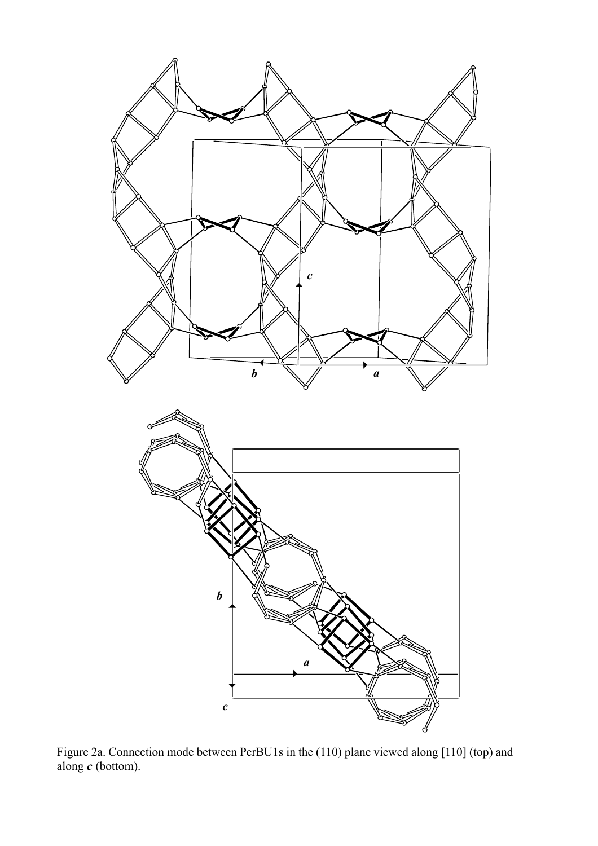

Figure 2a. Connection mode between PerBU1s in the (110) plane viewed along [110] (top) and along  $c$  (bottom).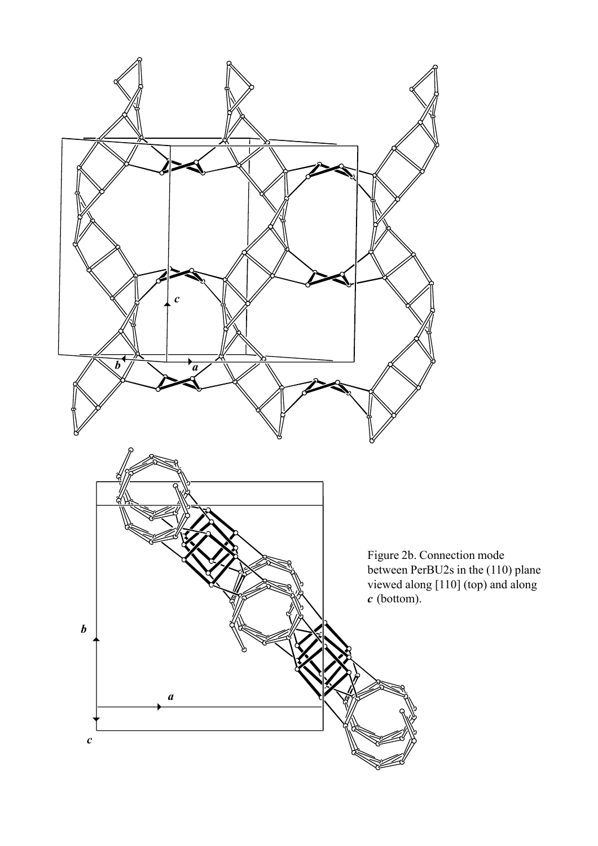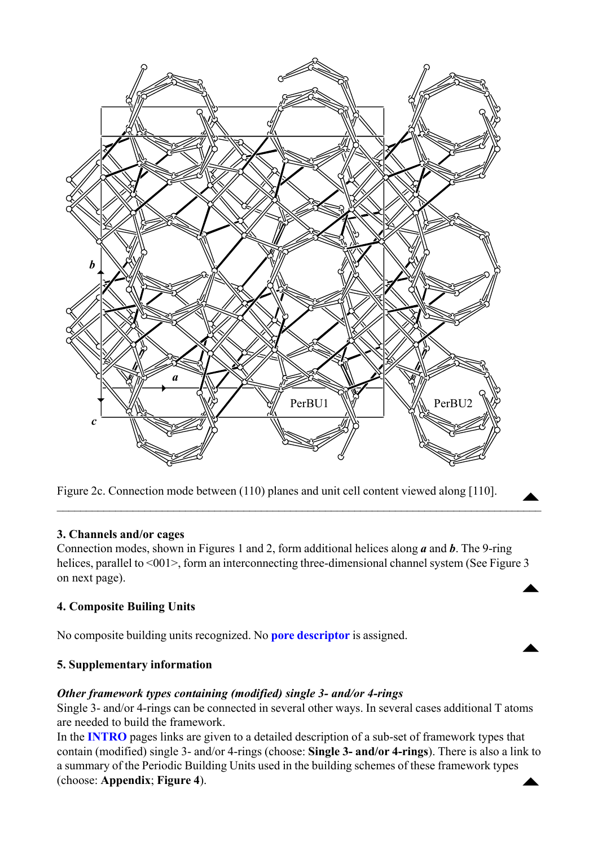<span id="page-3-0"></span>

Figure 2c. Connection mode between (110) planes and unit cell content viewed along [110].

#### **3. Channels and/or cages**

Connection modes, shown in Figures 1 and 2, form additional helices along *a* and *b*. The 9-ring helices, parallel to <001>, form an interconnecting three-dimensional channel system (See Figure 3 on next page).  $\blacktriangle$ 

 $\mathcal{L}_\mathcal{L} = \mathcal{L}_\mathcal{L} = \mathcal{L}_\mathcal{L} = \mathcal{L}_\mathcal{L} = \mathcal{L}_\mathcal{L} = \mathcal{L}_\mathcal{L} = \mathcal{L}_\mathcal{L} = \mathcal{L}_\mathcal{L} = \mathcal{L}_\mathcal{L} = \mathcal{L}_\mathcal{L} = \mathcal{L}_\mathcal{L} = \mathcal{L}_\mathcal{L} = \mathcal{L}_\mathcal{L} = \mathcal{L}_\mathcal{L} = \mathcal{L}_\mathcal{L} = \mathcal{L}_\mathcal{L} = \mathcal{L}_\mathcal{L}$ 

## **4. Composite Builing Units**

No composite building units recognized. No **[pore descriptor](http://www.iza-structure.org/databases/ModelBuilding/Introduction.pdf)** is assigned.

#### **5. Supplementary information**

#### *Other framework types containing (modified) single 3- and/or 4-rings*

Single 3- and/or 4-rings can be connected in several other ways. In several cases additional T atoms are needed to build the framework.

 $\blacktriangle$ 

In the **[INTRO](http://www.iza-structure.org/databases/ModelBuilding/Introduction.pdf)** pages links are given to a detailed description of a sub-set of framework types that contain (modified) single 3- and/or 4-rings (choose: **Single 3- and/or 4-rings**). There is also a link to a summary of the Periodic Building Units used in the building schemes of these framework types (choose: **Appendix**; **Figure 4**).  $\blacktriangle$